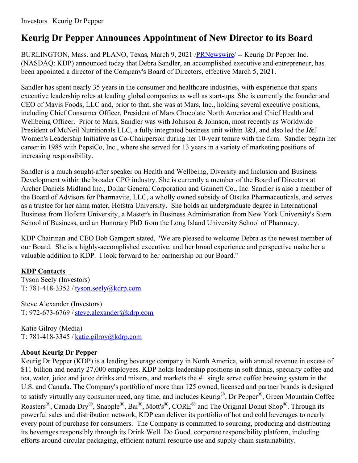## **Keurig Dr Pepper Announces Appointment of New Director to its Board**

BURLINGTON, Mass. and PLANO, Texas, March 9, 2021 [/PRNewswire](http://www.prnewswire.com/)/ -- Keurig Dr Pepper Inc. (NASDAQ: KDP) announced today that Debra Sandler, an accomplished executive and entrepreneur, has been appointed a director of the Company's Board of Directors, effective March 5, 2021.

Sandler has spent nearly 35 years in the consumer and healthcare industries, with experience that spans executive leadership roles at leading global companies as well as start-ups. She is currently the founder and CEO of Mavis Foods, LLC and, prior to that, she was at Mars, Inc., holding several executive positions, including Chief Consumer Officer, President of Mars Chocolate North America and Chief Health and Wellbeing Officer. Prior to Mars, Sandler was with Johnson & Johnson, most recently as Worldwide President of McNeil Nutritionals LLC, a fully integrated business unit within J&J, and also led the J&J Women's Leadership Initiative as Co-Chairperson during her 10-year tenure with the firm. Sandler began her career in 1985 with PepsiCo, Inc., where she served for 13 years in a variety of marketing positions of increasing responsibility.

Sandler is a much sought-after speaker on Health and Wellbeing, Diversity and Inclusion and Business Development within the broader CPG industry. She is currently a member of the Board of Directors at Archer Daniels Midland Inc., Dollar General Corporation and Gannett Co., Inc. Sandler is also a member of the Board of Advisors for Pharmavite, LLC, a wholly owned subsidy of Otsuka Pharmaceuticals, and serves as a trustee for her alma mater, Hofstra University. She holds an undergraduate degree in International Business from Hofstra University, a Master's in Business Administration from New York University's Stern School of Business, and an Honorary PhD from the Long Island University School of Pharmacy.

KDP Chairman and CEO Bob Gamgort stated, "We are pleased to welcome Debra as the newest member of our Board. She is a highly-accomplished executive, and her broad experience and perspective make her a valuable addition to KDP. I look forward to her partnership on our Board."

## **KDP Contacts**

Tyson Seely (Investors) T: 781-418-3352 / [tyson.seely@kdrp.com](mailto:tyson.seely@kdrp.com)

Steve Alexander (Investors) T: 972-673-6769 /[steve.alexander@kdrp.com](mailto:steve.alexander@kdrp.com)

Katie Gilroy (Media) T:  $781-418-3345$  / [katie.gilroy@kdrp.com](mailto:katie.gilroy@kdrp.com)

## **About Keurig Dr Pepper**

Keurig Dr Pepper (KDP) is a leading beverage company in North America, with annual revenue in excess of \$11 billion and nearly 27,000 employees. KDP holds leadership positions in soft drinks, specialty coffee and tea, water, juice and juice drinks and mixers, and markets the #1 single serve coffee brewing system in the U.S. and Canada. The Company's portfolio of more than 125 owned, licensed and partner brands is designed to satisfy virtually any consumer need, any time, and includes Keurig®, Dr Pepper®, Green Mountain Coffee Roasters<sup>®</sup>, Canada Dry<sup>®</sup>, Snapple<sup>®</sup>, Bai<sup>®</sup>, Mott's<sup>®</sup>, CORE<sup>®</sup> and The Original Donut Shop<sup>®</sup>. Through its powerful sales and distribution network, KDP can deliver its portfolio of hot and cold beverages to nearly every point of purchase for consumers. The Company is committed to sourcing, producing and distributing its beverages responsibly through its Drink Well. Do Good. corporate responsibility platform, including efforts around circular packaging, efficient natural resource use and supply chain sustainability.